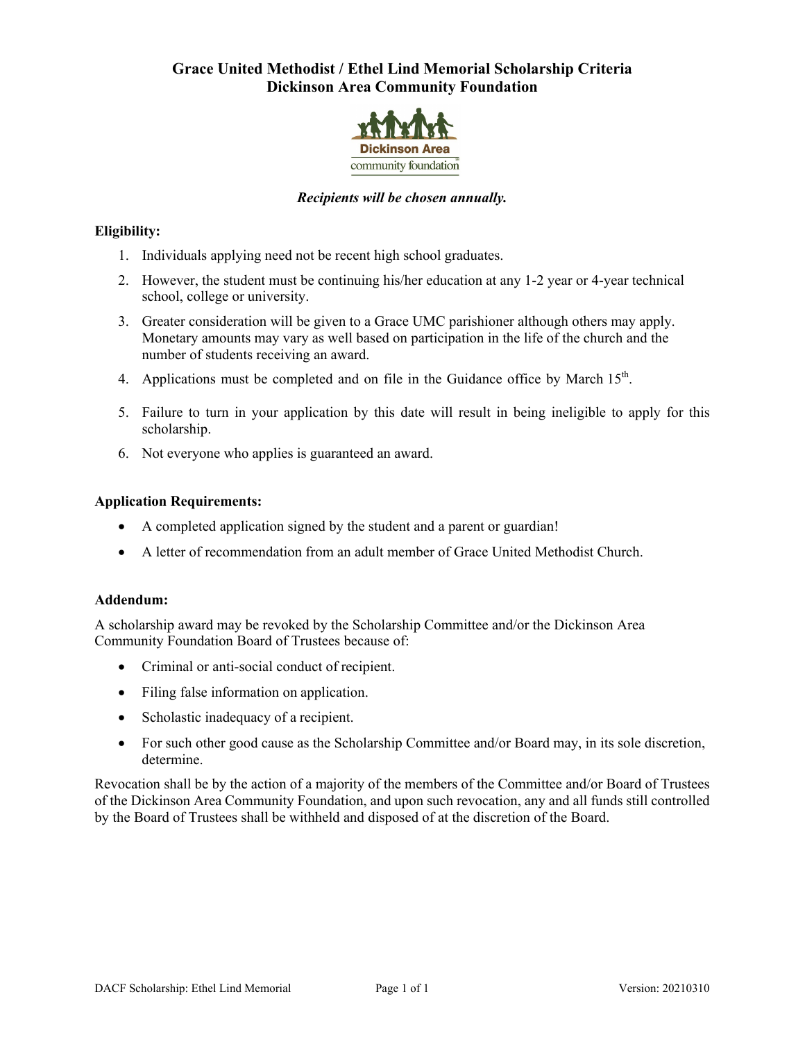# **Grace United Methodist / Ethel Lind Memorial Scholarship Criteria Dickinson Area Community Foundation**



## *Recipients will be chosen annually.*

## **Eligibility:**

- 1. Individuals applying need not be recent high school graduates.
- 2. However, the student must be continuing his/her education at any 1-2 year or 4-year technical school, college or university.
- 3. Greater consideration will be given to a Grace UMC parishioner although others may apply. Monetary amounts may vary as well based on participation in the life of the church and the number of students receiving an award.
- 4. Applications must be completed and on file in the Guidance office by March 15<sup>th</sup>.
- 5. Failure to turn in your application by this date will result in being ineligible to apply for this scholarship.
- 6. Not everyone who applies is guaranteed an award.

### **Application Requirements:**

- A completed application signed by the student and a parent or guardian!
- A letter of recommendation from an adult member of Grace United Methodist Church.

#### **Addendum:**

A scholarship award may be revoked by the Scholarship Committee and/or the Dickinson Area Community Foundation Board of Trustees because of:

- Criminal or anti-social conduct of recipient.
- Filing false information on application.
- Scholastic inadequacy of a recipient.
- For such other good cause as the Scholarship Committee and/or Board may, in its sole discretion, determine.

Revocation shall be by the action of a majority of the members of the Committee and/or Board of Trustees of the Dickinson Area Community Foundation, and upon such revocation, any and all funds still controlled by the Board of Trustees shall be withheld and disposed of at the discretion of the Board.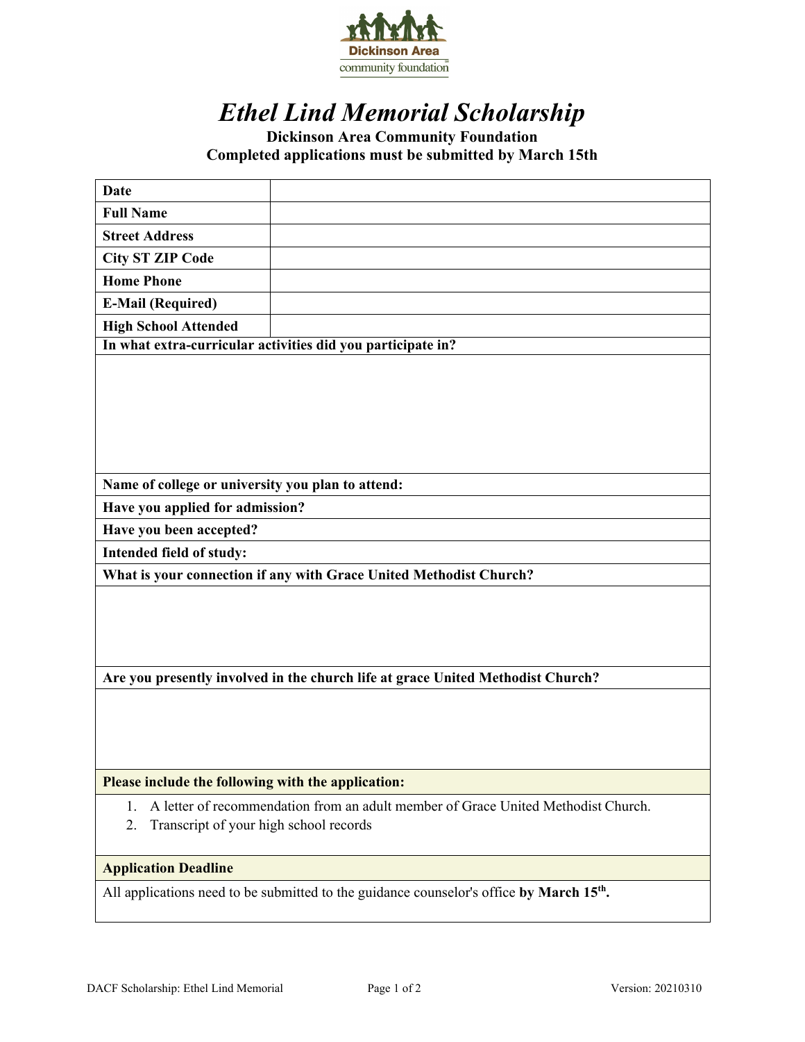

# *Ethel Lind Memorial Scholarship*

# **Dickinson Area Community Foundation Completed applications must be submitted by March 15th**

| <b>Date</b>                                                                     |                                                                                   |
|---------------------------------------------------------------------------------|-----------------------------------------------------------------------------------|
| <b>Full Name</b>                                                                |                                                                                   |
| <b>Street Address</b>                                                           |                                                                                   |
| <b>City ST ZIP Code</b>                                                         |                                                                                   |
| <b>Home Phone</b>                                                               |                                                                                   |
| <b>E-Mail (Required)</b>                                                        |                                                                                   |
| <b>High School Attended</b>                                                     |                                                                                   |
|                                                                                 | In what extra-curricular activities did you participate in?                       |
|                                                                                 |                                                                                   |
| Name of college or university you plan to attend:                               |                                                                                   |
| Have you applied for admission?                                                 |                                                                                   |
| Have you been accepted?                                                         |                                                                                   |
| Intended field of study:                                                        |                                                                                   |
|                                                                                 | What is your connection if any with Grace United Methodist Church?                |
|                                                                                 |                                                                                   |
| Are you presently involved in the church life at grace United Methodist Church? |                                                                                   |
|                                                                                 |                                                                                   |
| Please include the following with the application:                              |                                                                                   |
| 1.<br>Transcript of your high school records<br>2.                              | A letter of recommendation from an adult member of Grace United Methodist Church. |
| <b>Application Deadline</b>                                                     |                                                                                   |

All applications need to be submitted to the guidance counselor's office **by March 15th.**